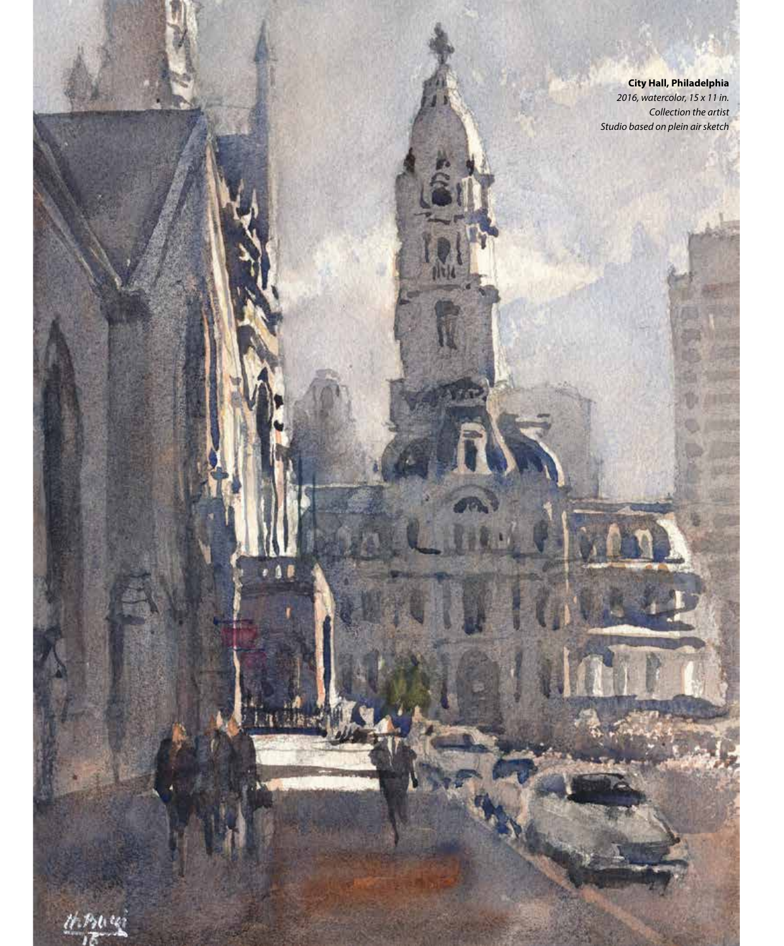**City Hall, Philadelphia** *2016, watercolor, 15 x 11 in. Collection the artist Studio based on plein air sketch*

 $7 - 7$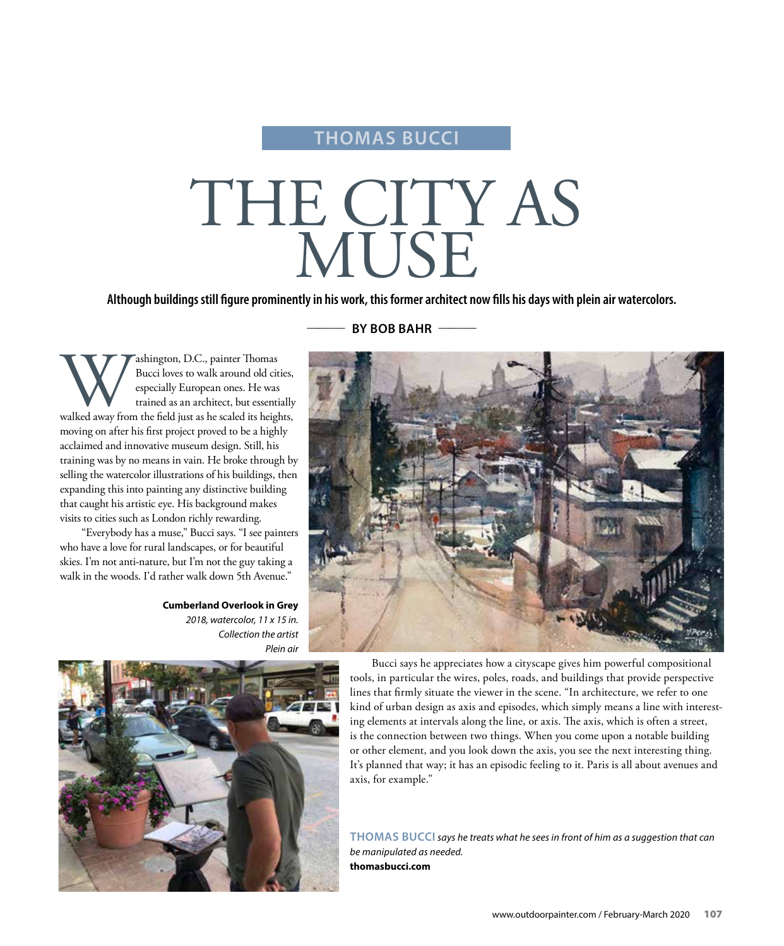# **THOMAS BUCCI**

# THE CITY AS MUSE

**Although buildings still figure prominently in his work, this former architect now fills his days with plein air watercolors.**

BY BOB BAHR -

Washington, D.C., painter Thomas<br>Bucci loves to walk around old cities,<br>especially European ones. He was<br>trained as an architect, but essentially<br>walked away from the field just as he scaled its heights, Bucci loves to walk around old cities, especially European ones. He was trained as an architect, but essentially moving on after his first project proved to be a highly acclaimed and innovative museum design. Still, his training was by no means in vain. He broke through by selling the watercolor illustrations of his buildings, then expanding this into painting any distinctive building that caught his artistic eye. His background makes visits to cities such as London richly rewarding.

"Everybody has a muse," Bucci says. "I see painters who have a love for rural landscapes, or for beautiful skies. I'm not anti-nature, but I'm not the guy taking a walk in the woods. I'd rather walk down 5th Avenue."

> **Cumberland Overlook in Grey** *2018, watercolor, 11 x 15 in. Collection the artist Plein air*





Bucci says he appreciates how a cityscape gives him powerful compositional tools, in particular the wires, poles, roads, and buildings that provide perspective lines that firmly situate the viewer in the scene. "In architecture, we refer to one kind of urban design as axis and episodes, which simply means a line with interesting elements at intervals along the line, or axis. The axis, which is often a street, is the connection between two things. When you come upon a notable building or other element, and you look down the axis, you see the next interesting thing. It's planned that way; it has an episodic feeling to it. Paris is all about avenues and axis, for example."

**THOMAS BUCCI** *says he treats what he sees in front of him as a suggestion that can be manipulated as needed.*  **thomasbucci.com**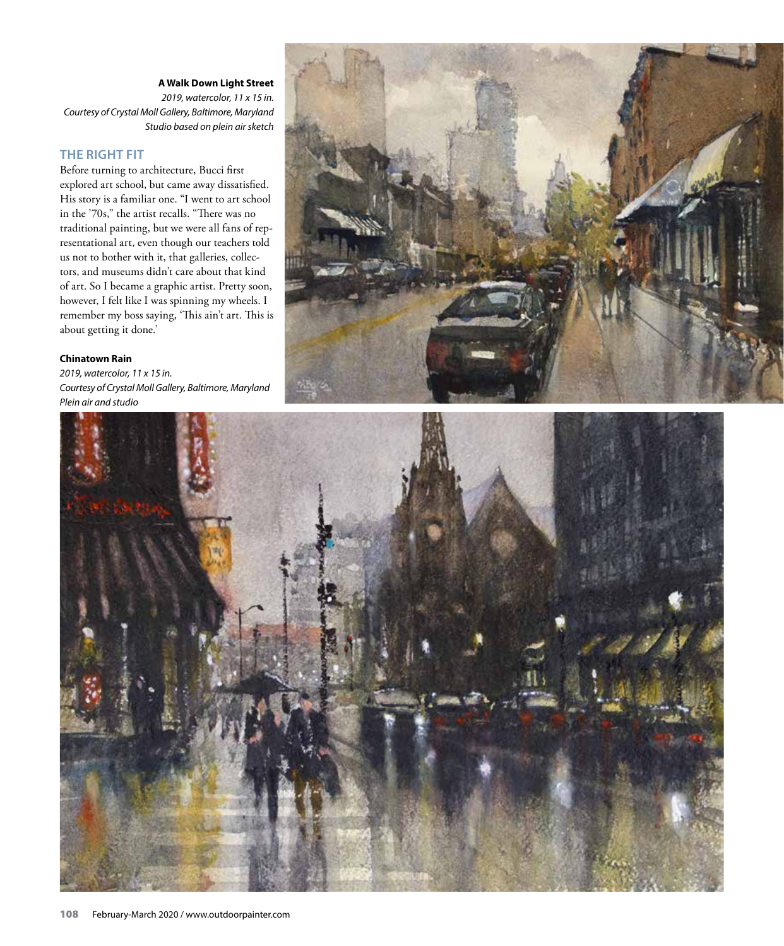### **A Walk Down Light Street**

*2019, watercolor, 11 x 15 in. Courtesy of Crystal Moll Gallery, Baltimore, Maryland Studio based on plein air sketch*

## **THE RIGHT FIT**

Before turning to architecture, Bucci first explored art school, but came away dissatisfied. His story is a familiar one. "I went to art school in the '70s," the artist recalls. "There was no traditional painting, but we were all fans of representational art, even though our teachers told us not to bother with it, that galleries, collectors, and museums didn't care about that kind of art. So I became a graphic artist. Pretty soon, however, I felt like I was spinning my wheels. I remember my boss saying, 'This ain't art. This is about getting it done.'

#### **Chinatown Rain**

*2019, watercolor, 11 x 15 in. Courtesy of Crystal Moll Gallery, Baltimore, Maryland Plein air and studio*



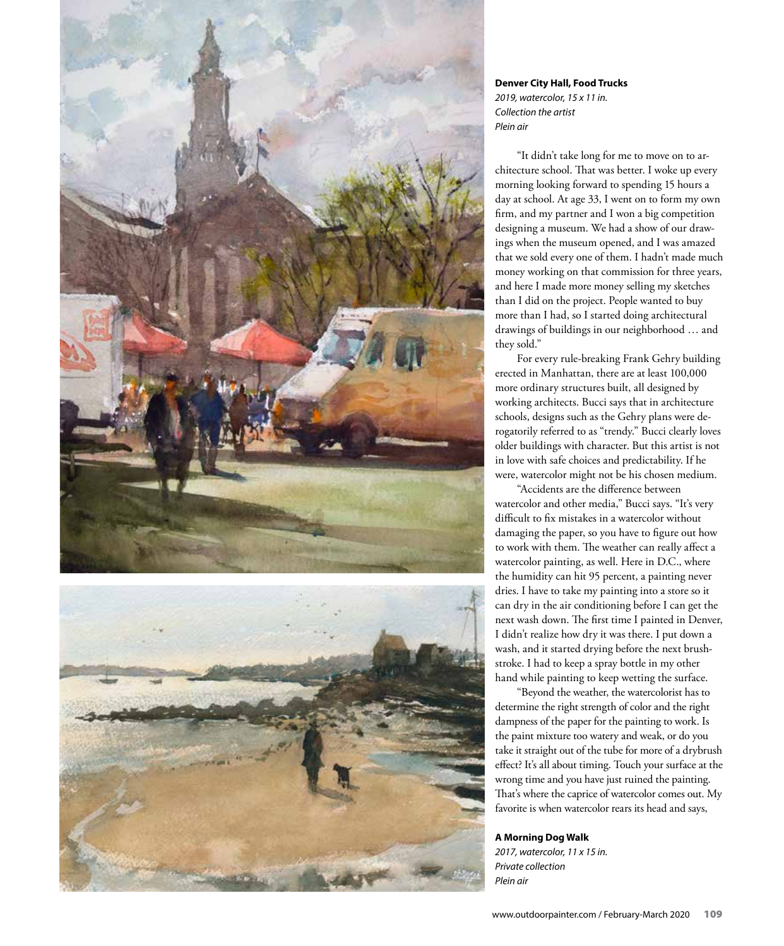

**Denver City Hall, Food Trucks** *2019, watercolor, 15 x 11 in. Collection the artist Plein air*

"It didn't take long for me to move on to architecture school. That was better. I woke up every morning looking forward to spending 15 hours a day at school. At age 33, I went on to form my own firm, and my partner and I won a big competition designing a museum. We had a show of our drawings when the museum opened, and I was amazed that we sold every one of them. I hadn't made much money working on that commission for three years, and here I made more money selling my sketches than I did on the project. People wanted to buy more than I had, so I started doing architectural drawings of buildings in our neighborhood … and they sold."

For every rule-breaking Frank Gehry building erected in Manhattan, there are at least 100,000 more ordinary structures built, all designed by working architects. Bucci says that in architecture schools, designs such as the Gehry plans were derogatorily referred to as "trendy." Bucci clearly loves older buildings with character. But this artist is not in love with safe choices and predictability. If he were, watercolor might not be his chosen medium.

"Accidents are the difference between watercolor and other media," Bucci says. "It's very difficult to fix mistakes in a watercolor without damaging the paper, so you have to figure out how to work with them. The weather can really affect a watercolor painting, as well. Here in D.C., where the humidity can hit 95 percent, a painting never dries. I have to take my painting into a store so it can dry in the air conditioning before I can get the next wash down. The first time I painted in Denver, I didn't realize how dry it was there. I put down a wash, and it started drying before the next brushstroke. I had to keep a spray bottle in my other hand while painting to keep wetting the surface.

"Beyond the weather, the watercolorist has to determine the right strength of color and the right dampness of the paper for the painting to work. Is the paint mixture too watery and weak, or do you take it straight out of the tube for more of a drybrush effect? It's all about timing. Touch your surface at the wrong time and you have just ruined the painting. That's where the caprice of watercolor comes out. My favorite is when watercolor rears its head and says,

**A Morning Dog Walk**

*2017, watercolor, 11 x 15 in. Private collection Plein air*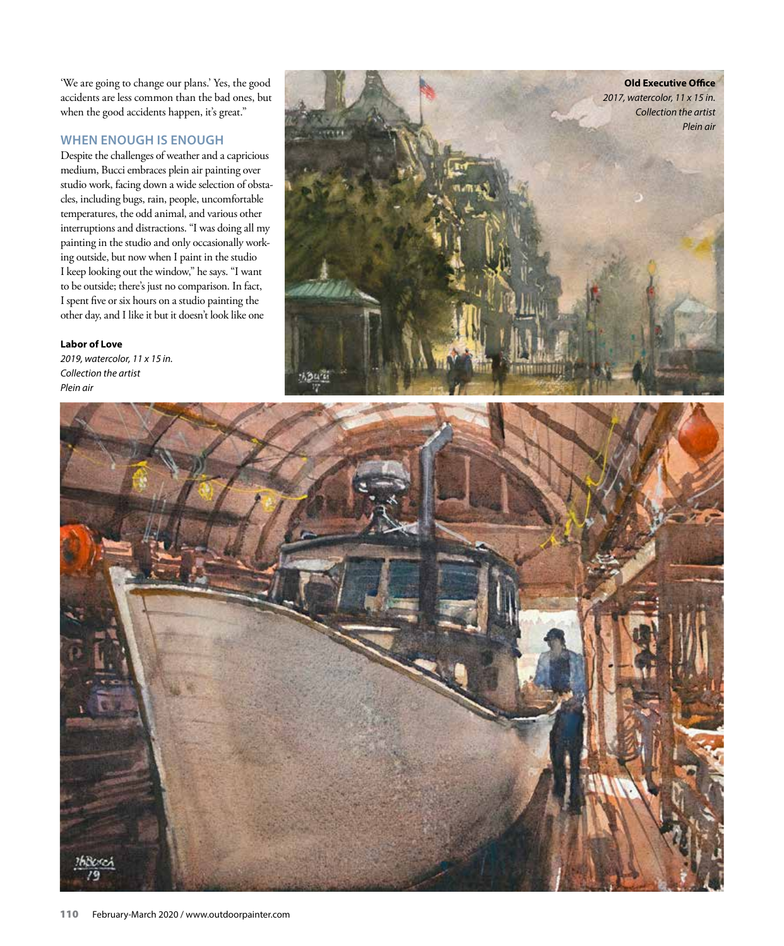'We are going to change our plans.' Yes, the good accidents are less common than the bad ones, but when the good accidents happen, it's great."

## **WHEN ENOUGH IS ENOUGH**

Despite the challenges of weather and a capricious medium, Bucci embraces plein air painting over studio work, facing down a wide selection of obstacles, including bugs, rain, people, uncomfortable temperatures, the odd animal, and various other interruptions and distractions. "I was doing all my painting in the studio and only occasionally working outside, but now when I paint in the studio I keep looking out the window," he says. "I want to be outside; there's just no comparison. In fact, I spent five or six hours on a studio painting the other day, and I like it but it doesn't look like one

#### **Labor of Love**

*2019, watercolor, 11 x 15 in. Collection the artist Plein air*



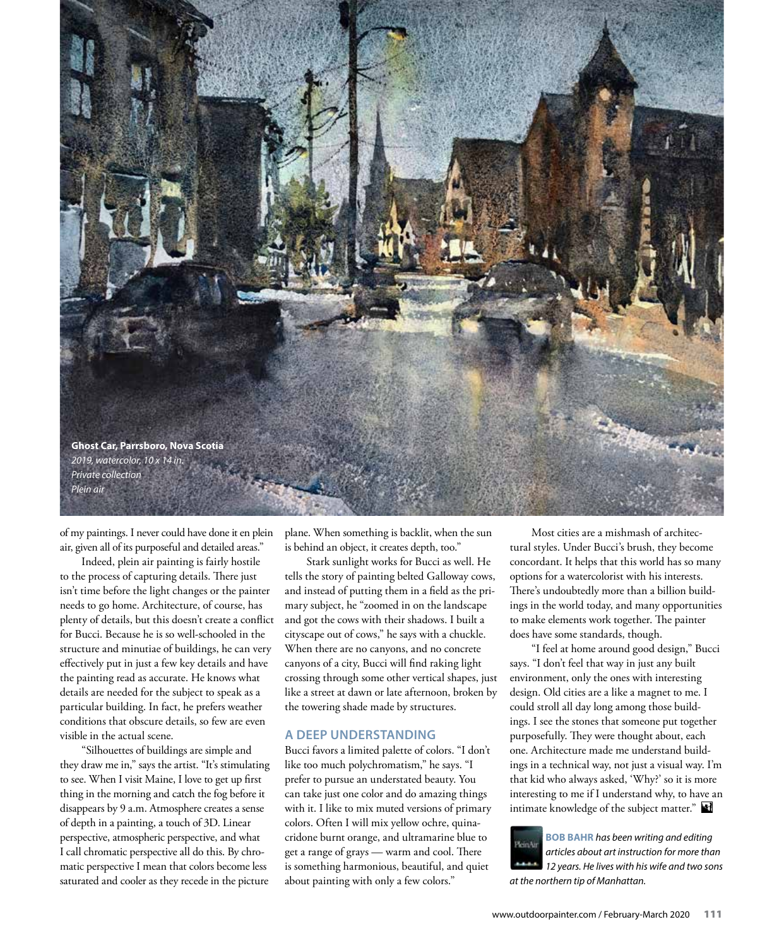

of my paintings. I never could have done it en plein air, given all of its purposeful and detailed areas."

Indeed, plein air painting is fairly hostile to the process of capturing details. There just isn't time before the light changes or the painter needs to go home. Architecture, of course, has plenty of details, but this doesn't create a conflict for Bucci. Because he is so well-schooled in the structure and minutiae of buildings, he can very effectively put in just a few key details and have the painting read as accurate. He knows what details are needed for the subject to speak as a particular building. In fact, he prefers weather conditions that obscure details, so few are even visible in the actual scene.

"Silhouettes of buildings are simple and they draw me in," says the artist. "It's stimulating to see. When I visit Maine, I love to get up first thing in the morning and catch the fog before it disappears by 9 a.m. Atmosphere creates a sense of depth in a painting, a touch of 3D. Linear perspective, atmospheric perspective, and what I call chromatic perspective all do this. By chromatic perspective I mean that colors become less saturated and cooler as they recede in the picture

plane. When something is backlit, when the sun is behind an object, it creates depth, too."

Stark sunlight works for Bucci as well. He tells the story of painting belted Galloway cows, and instead of putting them in a field as the primary subject, he "zoomed in on the landscape and got the cows with their shadows. I built a cityscape out of cows," he says with a chuckle. When there are no canyons, and no concrete canyons of a city, Bucci will find raking light crossing through some other vertical shapes, just like a street at dawn or late afternoon, broken by the towering shade made by structures.

#### **A DEEP UNDERSTANDING**

Bucci favors a limited palette of colors. "I don't like too much polychromatism," he says. "I prefer to pursue an understated beauty. You can take just one color and do amazing things with it. I like to mix muted versions of primary colors. Often I will mix yellow ochre, quinacridone burnt orange, and ultramarine blue to get a range of grays — warm and cool. There is something harmonious, beautiful, and quiet about painting with only a few colors."

Most cities are a mishmash of architectural styles. Under Bucci's brush, they become concordant. It helps that this world has so many options for a watercolorist with his interests. There's undoubtedly more than a billion buildings in the world today, and many opportunities to make elements work together. The painter does have some standards, though.

"I feel at home around good design," Bucci says. "I don't feel that way in just any built environment, only the ones with interesting design. Old cities are a like a magnet to me. I could stroll all day long among those buildings. I see the stones that someone put together purposefully. They were thought about, each one. Architecture made me understand buildings in a technical way, not just a visual way. I'm that kid who always asked, 'Why?' so it is more interesting to me if I understand why, to have an intimate knowledge of the subject matter."

**BOB BAHR** *has been writing and editing articles about art instruction for more than 12 years. He lives with his wife and two sons at the northern tip of Manhattan.*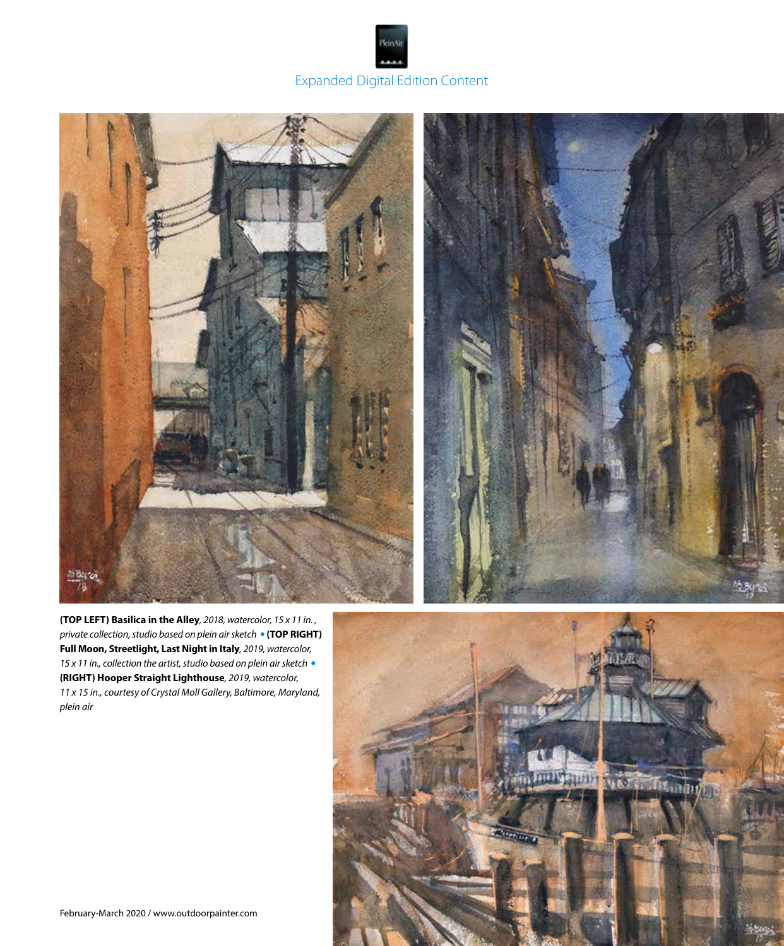# Expanded Digital Edition Content

PleinAi



**(TOP LEFT) Basilica in the Alley***, 2018, watercolor, 15 x 11 in. , private collection, studio based on plein air sketch* •**(TOP RIGHT) Full Moon, Streetlight, Last Night in Italy***, 2019, watercolor, 15 x 11 in., collection the artist, studio based on plein air sketch* • **(RIGHT) Hooper Straight Lighthouse***, 2019, watercolor, 11 x 15 in., courtesy of Crystal Moll Gallery, Baltimore, Maryland, plein air*